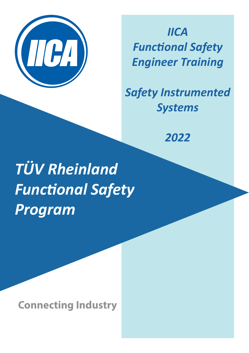

*IICA Functional Safety Engineer Training*

*Safety Instrumented Systems* 

*2022*

*TÜV Rheinland Functional Safety Program* 

**Connecting Industry**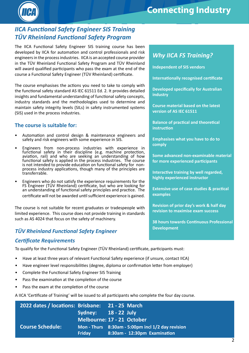

# **Connecting Industry**

## *IICA Functional Safety Engineer SIS Training TÜV Rheinland Functional Safety Program*

The IICA Functional Safety Engineer SIS training course has been developed by IICA for automation and control professionals and risk engineers in the process industries. IICA is an accepted course provider in the TÜV Rheinland Functional Safety Program and TÜV Rheinland will award qualified participants who pass the exam at the end of the course a Functional Safety Engineer (TÜV Rheinland) certificate.

The course emphasises the actions you need to take to comply with the functional safety standard AS IEC 61511 Ed. 2. It provides detailed insights and fundamental understanding of functional safety concepts, industry standards and the methodologies used to determine and maintain safety integrity levels (SILs) in safety instrumented systems (SIS) used in the process industries.

#### **The course is suitable for:**

- Automation and control design & maintenance engineers and safety and risk engineers with some experience in SIS.
- Engineers from non-process industries with experience in functional safety in their discipline (e.g. machine protection, aviation, rail) and who are seeking an understanding of how functional safety is applied in the process industries. The course is not intended to provide education on functional safety for nonprocess industry applications, though many of the principles are transferrable.
- Engineers who do not satisfy the experience requirements for the FS Engineer (TÜV Rheinland) certificate, but who are looking for an understanding of functional safety principles and practice. The certificate will not be awarded until sufficient experience is gained.

The course is not suitable for recent graduates or tradespeople with limited experience. This course does not provide training in standards such as AS 4024 that focus on the safety of machinery.

## **Development** *TÜV Rheinland Functional Safety Engineer*

#### *Certificate Requirements*

To qualify for the Functional Safety Engineer (TÜV Rheinland) certificate, participants must:

- Have at least three years of relevant Functional Safety experience (if unsure, contact IICA)
- Have engineer level responsibilities (degree, diploma or confirmation letter from employer)
- Complete the Functional Safety Engineer SIS Training
- Pass the examination at the completion of the course
- Pass the exam at the completion of the course

A IICA 'Certificate of Training' will be issued to all participants who complete the four day course.

| 2022 dates / locations: Brisbane: 21 - 25 March |        |                                                   |
|-------------------------------------------------|--------|---------------------------------------------------|
|                                                 |        | Sydney: 18 - 22 July                              |
|                                                 |        | Melbourne: 17 - 21 October                        |
| <b>Course Schedule:</b>                         |        | Mon - Thurs 8:30am - 5:00pm incl 1/2 day revision |
|                                                 | Friday | 8:30am - 12:30pm Examination                      |

## *Why IICA FS Training?*

**Independent of SIS vendors**

**Internationally recognised certificate**

**Developed specifically for Australian industry**

**Course material based on the latest version of AS IEC 61511**

**Balance of practical and theoretical instruction**

**Emphasises what you have to do to comply**

**Some advanced non-examinable material for more experienced participants**

**Interactive training by well regarded, highly experienced instructor** 

**Extensive use of case studies & practical examples**

**Revision of prior day's work & half day revision to maximise exam success**

**38 hours towards Continuous Professional**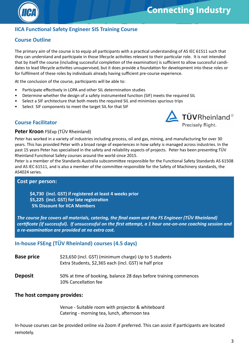



## **IICA Functional Safety Engineer SIS Training Course**

## **Course Outline**

The primary aim of the course is to equip all participants with a practical understanding of AS IEC 61511 such that they can understand and participate in those lifecycle activities relevant to their particular role. It is not intended that by itself the course (including successful completion of the examination) is sufficient to allow successful candidates to lead lifecycle activities unsupervised, but it does provide a foundation for development into these roles or for fulfilment of these roles by individuals already having sufficient pre-course experience.

At the conclusion of the course, participants will be able to:

- Participate effectively in LOPA and other SIL determination studies
- Determine whether the design of a safety instrumented function (SIF) meets the required SIL
- Select a SIF architecture that both meets the required SIL and minimises spurious trips
- Select SIF components to meet the target SIL for that SIF

## **Course Facilitator**



#### **Peter Kroon** FSExp (TÜV Rheinland)

Peter has worked in a variety of industries including process, oil and gas, mining, and manufacturing for over 30 years. This has provided Peter with a broad range of experiences in how safety is managed across industries. In the past 15 years Peter has specialised in the safety and reliability aspects of projects. Peter has been presenting TÜV Rheinland Functional Safety courses around the world since 2015.

Peter is a member of the Standards Australia subcommittee responsible for the Functional Safety Standards AS 61508 and AS IEC 61511, and is also a member of the committee responsible for the Safety of Machinery standards, the AS4024 series.

#### **Cost per person:**

**\$4,730 (incl. GST) if registered at least 4 weeks prior \$5,225 (incl. GST) for late registration 5% Discount for IICA Members**

*The course fee covers all materials, catering, the final exam and the FS Engineer (TÜV Rheinland) certificate (if successful). If unsuccessful on the first attempt, a 1 hour one-on-one coaching session and a re-examination are provided at no extra cost.*

## **In-house FSEng (TÜV Rheinland) courses (4.5 days)**

| <b>Base price</b> | \$23,650 (incl. GST) (minimum charge) Up to 5 students<br>Extra Students, \$2,365 each (incl. GST) ie half price |
|-------------------|------------------------------------------------------------------------------------------------------------------|
| <b>Deposit</b>    | 50% at time of booking, balance 28 days before training commences<br>10% Cancellation fee                        |

#### **The host company provides:**

Venue - Suitable room with projector & whiteboard Catering - morning tea, lunch, afternoon tea

In-house courses can be provided online via Zoom if preferred. This can assist if participants are located remotely.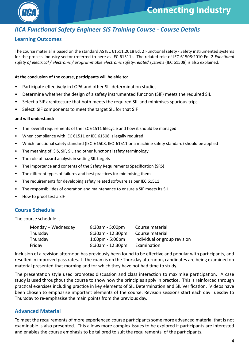

## *IICA Functional Safety Engineer SIS Training Course - Course Details*

## **Learning Outcomes**

The course material is based on the standard AS IEC 61511:2018 Ed. 2 Functional safety - Safety instrumented systems for the process industry sector (referred to here as IEC 61511). The related role of IEC 61508:2010 Ed. 2 *Functional safety of electrical / electronic / programmable electronic safety-related systems* (IEC 61508) is also explained.

#### **At the conclusion of the course, participants will be able to:**

- Participate effectively in LOPA and other SIL determination studies
- Determine whether the design of a safety instrumented function (SIF) meets the required SIL
- Select a SIF architecture that both meets the required SIL and minimises spurious trips
- Select SIF components to meet the target SIL for that SIF

#### **and will understand:**

- The overall requirements of the IEC 61511 lifecycle and how it should be managed
- When compliance with IEC 61511 or IEC 61508 is legally required
- Which functional safety standard (IEC 61508, IEC 61511 or a machine safety standard) should be applied
- The meaning of SIS, SIF, SIL and other functional safety terminology
- The role of hazard analysis in setting SIL targets
- The importance and contents of the Safety Requirements Specification (SRS)
- The different types of failures and best practices for minimising them
- The requirements for developing safety related software as per IEC 61511
- The responsibilities of operation and maintenance to ensure a SIF meets its SIL
- How to proof test a SIF

## **Course Schedule**

The course schedule is

| Monday – Wednesday | $8:30$ am - 5:00pm                | Course material              |  |
|--------------------|-----------------------------------|------------------------------|--|
| Thursday           | $8:30$ am - 12:30pm               | Course material              |  |
| Thursday           | $1:00 \text{pm} - 5:00 \text{pm}$ | Individual or group revision |  |
| Friday             | $8:30$ am - 12:30pm               | Examination                  |  |

Inclusion of a revision afternoon has previously been found to be effective and popular with participants, and resulted in improved pass rates. If the exam is on the Thursday afternoon, candidates are being examined on material presented that morning and for which they have not had time to study.

The presentation style used promotes discussion and class interaction to maximise participation. A case study is used throughout the course to show how the principles apply in practice. This is reinforced through practical exercises including practice in key elements of SIL Determination and SIL Verification. Videos have been chosen to emphasise important elements of the course. Revision sessions start each day Tuesday to Thursday to re-emphasise the main points from the previous day.

## **Advanced Material**

To meet the requirements of more experienced course participants some more advanced material that is not examinable is also presented. This allows more complex issues to be explored if participants are interested and enables the course emphasis to be tailored to suit the requirements of the participants.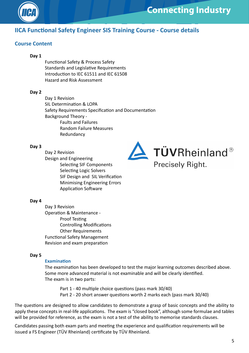

## **Connecting Industry**

## **IICA Functional Safety Engineer SIS Training Course - Course details**

## **Course Content**

#### **Day 1**

Functional Safety & Process Safety Standards and Legislative Requirements Introduction to IEC 61511 and IEC 61508 Hazard and Risk Assessment

#### **Day 2**

Day 1 Revision SIL Determination & LOPA Safety Requirements Specification and Documentation Background Theory - Faults and Failures Random Failure Measures Redundancy

#### **Day 3**

Day 2 Revision Design and Engineering Selecting SIF Components Selecting Logic Solvers SIF Design and SIL Verification Minimising Engineering Errors Application Software



#### **Day 4**

Day 3 Revision Operation & Maintenance - Proof Testing Controlling Modifications Other Requirements Functional Safety Management Revision and exam preparation

#### **Day 5**

#### **Examination**

The examination has been developed to test the major learning outcomes described above. Some more advanced material is not examinable and will be clearly identified. The exam is in two parts:

Part 1 - 40 multiple choice questions (pass mark 30/40) Part 2 - 20 short answer questions worth 2 marks each (pass mark 30/40)

The questions are designed to allow candidates to demonstrate a grasp of basic concepts and the ability to apply these concepts in real-life applications. The exam is "closed book", although some formulae and tables will be provided for reference, as the exam is not a test of the ability to memorise standards clauses.

Candidates passing both exam parts and meeting the experience and qualification requirements will be issued a FS Engineer (TÜV Rheinland) certificate by TÜV Rheinland.